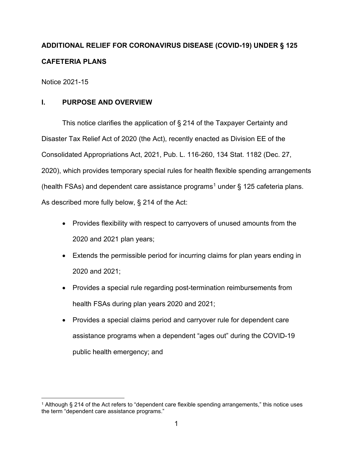## **ADDITIONAL RELIEF FOR CORONAVIRUS DISEASE (COVID-19) UNDER § 125 CAFETERIA PLANS**

Notice 2021-15

### **I. PURPOSE AND OVERVIEW**

This notice clarifies the application of § 214 of the Taxpayer Certainty and Disaster Tax Relief Act of 2020 (the Act), recently enacted as Division EE of the Consolidated Appropriations Act, 2021, Pub. L. 116-260, 134 Stat. 1182 (Dec. 27, 2020), which provides temporary special rules for health flexible spending arrangements (health FSAs) and dependent care assistance programs<sup>[1](#page-0-0)</sup> under § 125 cafeteria plans. As described more fully below, § 214 of the Act:

- Provides flexibility with respect to carryovers of unused amounts from the 2020 and 2021 plan years;
- Extends the permissible period for incurring claims for plan years ending in 2020 and 2021;
- Provides a special rule regarding post-termination reimbursements from health FSAs during plan years 2020 and 2021;
- Provides a special claims period and carryover rule for dependent care assistance programs when a dependent "ages out" during the COVID-19 public health emergency; and

<span id="page-0-0"></span><sup>1</sup> Although § 214 of the Act refers to "dependent care flexible spending arrangements," this notice uses the term "dependent care assistance programs."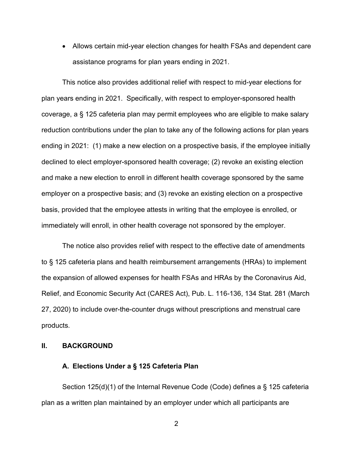• Allows certain mid-year election changes for health FSAs and dependent care assistance programs for plan years ending in 2021.

This notice also provides additional relief with respect to mid-year elections for plan years ending in 2021. Specifically, with respect to employer-sponsored health coverage, a § 125 cafeteria plan may permit employees who are eligible to make salary reduction contributions under the plan to take any of the following actions for plan years ending in 2021: (1) make a new election on a prospective basis, if the employee initially declined to elect employer-sponsored health coverage; (2) revoke an existing election and make a new election to enroll in different health coverage sponsored by the same employer on a prospective basis; and (3) revoke an existing election on a prospective basis, provided that the employee attests in writing that the employee is enrolled, or immediately will enroll, in other health coverage not sponsored by the employer.

The notice also provides relief with respect to the effective date of amendments to § 125 cafeteria plans and health reimbursement arrangements (HRAs) to implement the expansion of allowed expenses for health FSAs and HRAs by the Coronavirus Aid, Relief, and Economic Security Act (CARES Act), Pub. L. 116-136, 134 Stat. 281 (March 27, 2020) to include over-the-counter drugs without prescriptions and menstrual care products.

### **II. BACKGROUND**

#### **A. Elections Under a § 125 Cafeteria Plan**

Section 125(d)(1) of the Internal Revenue Code (Code) defines a § 125 cafeteria plan as a written plan maintained by an employer under which all participants are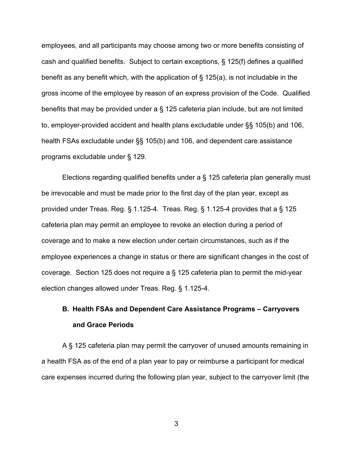employees, and all participants may choose among two or more benefits consisting of cash and qualified benefits. Subject to certain exceptions, § 125(f) defines a qualified benefit as any benefit which, with the application of § 125(a), is not includable in the gross income of the employee by reason of an express provision of the Code. Qualified benefits that may be provided under a § 125 cafeteria plan include, but are not limited to, employer-provided accident and health plans excludable under §§ 105(b) and 106, health FSAs excludable under §§ 105(b) and 106, and dependent care assistance programs excludable under § 129.

Elections regarding qualified benefits under a § 125 cafeteria plan generally must be irrevocable and must be made prior to the first day of the plan year, except as provided under Treas. Reg. § 1.125-4. Treas. Reg. § 1.125-4 provides that a § 125 cafeteria plan may permit an employee to revoke an election during a period of coverage and to make a new election under certain circumstances, such as if the employee experiences a change in status or there are significant changes in the cost of coverage. Section 125 does not require a § 125 cafeteria plan to permit the mid-year election changes allowed under Treas. Reg. § 1.125-4.

## **B. Health FSAs and Dependent Care Assistance Programs – Carryovers and Grace Periods**

A § 125 cafeteria plan may permit the carryover of unused amounts remaining in a health FSA as of the end of a plan year to pay or reimburse a participant for medical care expenses incurred during the following plan year, subject to the carryover limit (the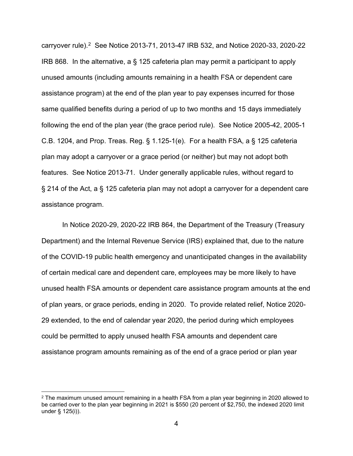carryover rule).[2](#page-3-0) See Notice 2013-71, 2013-47 IRB 532, and Notice 2020-33, 2020-22 IRB 868. In the alternative, a § 125 cafeteria plan may permit a participant to apply unused amounts (including amounts remaining in a health FSA or dependent care assistance program) at the end of the plan year to pay expenses incurred for those same qualified benefits during a period of up to two months and 15 days immediately following the end of the plan year (the grace period rule). See Notice 2005-42, 2005-1 C.B. 1204, and Prop. Treas. Reg. § 1.125-1(e). For a health FSA, a § 125 cafeteria plan may adopt a carryover or a grace period (or neither) but may not adopt both features. See Notice 2013-71. Under generally applicable rules, without regard to § 214 of the Act, a § 125 cafeteria plan may not adopt a carryover for a dependent care assistance program.

In Notice 2020-29, 2020-22 IRB 864, the Department of the Treasury (Treasury Department) and the Internal Revenue Service (IRS) explained that, due to the nature of the COVID-19 public health emergency and unanticipated changes in the availability of certain medical care and dependent care, employees may be more likely to have unused health FSA amounts or dependent care assistance program amounts at the end of plan years, or grace periods, ending in 2020. To provide related relief, Notice 2020- 29 extended, to the end of calendar year 2020, the period during which employees could be permitted to apply unused health FSA amounts and dependent care assistance program amounts remaining as of the end of a grace period or plan year

<span id="page-3-0"></span><sup>2</sup> The maximum unused amount remaining in a health FSA from a plan year beginning in 2020 allowed to be carried over to the plan year beginning in 2021 is \$550 (20 percent of \$2,750, the indexed 2020 limit under § 125(i)).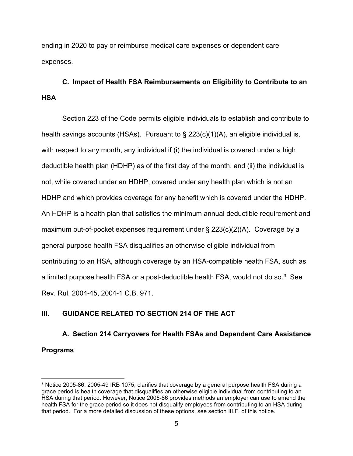ending in 2020 to pay or reimburse medical care expenses or dependent care expenses.

## **C. Impact of Health FSA Reimbursements on Eligibility to Contribute to an HSA**

Section 223 of the Code permits eligible individuals to establish and contribute to health savings accounts (HSAs). Pursuant to § 223(c)(1)(A), an eligible individual is, with respect to any month, any individual if (i) the individual is covered under a high deductible health plan (HDHP) as of the first day of the month, and (ii) the individual is not, while covered under an HDHP, covered under any health plan which is not an HDHP and which provides coverage for any benefit which is covered under the HDHP. An HDHP is a health plan that satisfies the minimum annual deductible requirement and maximum out-of-pocket expenses requirement under § 223(c)(2)(A). Coverage by a general purpose health FSA disqualifies an otherwise eligible individual from contributing to an HSA, although coverage by an HSA-compatible health FSA, such as a limited purpose health FSA or a post-deductible health FSA, would not do so.<sup>3</sup> See Rev. Rul. 2004-45, 2004-1 C.B. 971.

### **III. GUIDANCE RELATED TO SECTION 214 OF THE ACT**

**A. Section 214 Carryovers for Health FSAs and Dependent Care Assistance Programs**

<span id="page-4-0"></span><sup>3</sup> Notice 2005-86, 2005-49 IRB 1075, clarifies that coverage by a general purpose health FSA during a grace period is health coverage that disqualifies an otherwise eligible individual from contributing to an HSA during that period. However, Notice 2005-86 provides methods an employer can use to amend the health FSA for the grace period so it does not disqualify employees from contributing to an HSA during that period. For a more detailed discussion of these options, see section III.F. of this notice.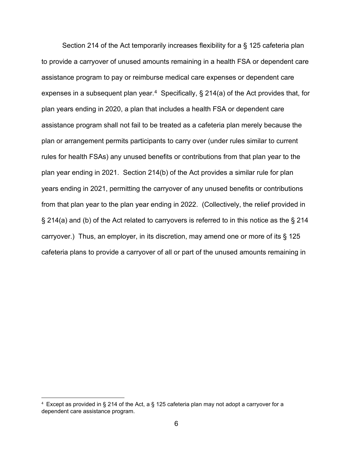Section 214 of the Act temporarily increases flexibility for a § 125 cafeteria plan to provide a carryover of unused amounts remaining in a health FSA or dependent care assistance program to pay or reimburse medical care expenses or dependent care expenses in a subsequent plan year.<sup>[4](#page-5-0)</sup> Specifically, § 214(a) of the Act provides that, for plan years ending in 2020, a plan that includes a health FSA or dependent care assistance program shall not fail to be treated as a cafeteria plan merely because the plan or arrangement permits participants to carry over (under rules similar to current rules for health FSAs) any unused benefits or contributions from that plan year to the plan year ending in 2021. Section 214(b) of the Act provides a similar rule for plan years ending in 2021, permitting the carryover of any unused benefits or contributions from that plan year to the plan year ending in 2022. (Collectively, the relief provided in § 214(a) and (b) of the Act related to carryovers is referred to in this notice as the § 214 carryover.) Thus, an employer, in its discretion, may amend one or more of its § 125 cafeteria plans to provide a carryover of all or part of the unused amounts remaining in

<span id="page-5-0"></span><sup>4</sup> Except as provided in § 214 of the Act, a § 125 cafeteria plan may not adopt a carryover for a dependent care assistance program.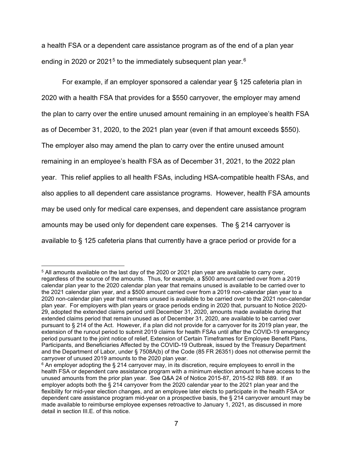a health FSA or a dependent care assistance program as of the end of a plan year ending in 2020 or 2021<sup>[5](#page-6-0)</sup> to the immediately subsequent plan year.<sup>6</sup>

For example, if an employer sponsored a calendar year § 125 cafeteria plan in 2020 with a health FSA that provides for a \$550 carryover, the employer may amend the plan to carry over the entire unused amount remaining in an employee's health FSA as of December 31, 2020, to the 2021 plan year (even if that amount exceeds \$550). The employer also may amend the plan to carry over the entire unused amount remaining in an employee's health FSA as of December 31, 2021, to the 2022 plan year. This relief applies to all health FSAs, including HSA-compatible health FSAs, and also applies to all dependent care assistance programs. However, health FSA amounts may be used only for medical care expenses, and dependent care assistance program amounts may be used only for dependent care expenses. The § 214 carryover is available to § 125 cafeteria plans that currently have a grace period or provide for a

<span id="page-6-0"></span><sup>5</sup> All amounts available on the last day of the 2020 or 2021 plan year are available to carry over, regardless of the source of the amounts. Thus, for example, a \$500 amount carried over from a 2019 calendar plan year to the 2020 calendar plan year that remains unused is available to be carried over to the 2021 calendar plan year, and a \$500 amount carried over from a 2019 non-calendar plan year to a 2020 non-calendar plan year that remains unused is available to be carried over to the 2021 non-calendar plan year. For employers with plan years or grace periods ending in 2020 that, pursuant to Notice 2020- 29, adopted the extended claims period until December 31, 2020, amounts made available during that extended claims period that remain unused as of December 31, 2020, are available to be carried over pursuant to § 214 of the Act. However, if a plan did not provide for a carryover for its 2019 plan year, the extension of the runout period to submit 2019 claims for health FSAs until after the COVID-19 emergency period pursuant to the joint notice of relief, Extension of Certain Timeframes for Employee Benefit Plans, Participants, and Beneficiaries Affected by the COVID-19 Outbreak, issued by the Treasury Department and the Department of Labor, under § 7508A(b) of the Code (85 FR 26351) does not otherwise permit the carryover of unused 2019 amounts to the 2020 plan year.

<span id="page-6-1"></span> $6$  An employer adopting the § 214 carryover may, in its discretion, require employees to enroll in the health FSA or dependent care assistance program with a minimum election amount to have access to the unused amounts from the prior plan year. See Q&A 24 of Notice 2015-87, 2015-52 IRB 889. If an employer adopts both the § 214 carryover from the 2020 calendar year to the 2021 plan year and the flexibility for mid-year election changes, and an employee later elects to participate in the health FSA or dependent care assistance program mid-year on a prospective basis, the § 214 carryover amount may be made available to reimburse employee expenses retroactive to January 1, 2021, as discussed in more detail in section III.E. of this notice.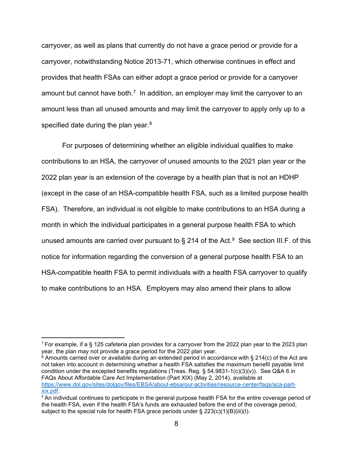carryover, as well as plans that currently do not have a grace period or provide for a carryover, notwithstanding Notice 2013-71, which otherwise continues in effect and provides that health FSAs can either adopt a grace period or provide for a carryover amount but cannot have both.<sup>7</sup> In addition, an employer may limit the carryover to an amount less than all unused amounts and may limit the carryover to apply only up to a specified date during the plan year.<sup>[8](#page-7-1)</sup>

For purposes of determining whether an eligible individual qualifies to make contributions to an HSA, the carryover of unused amounts to the 2021 plan year or the 2022 plan year is an extension of the coverage by a health plan that is not an HDHP (except in the case of an HSA-compatible health FSA, such as a limited purpose health FSA). Therefore, an individual is not eligible to make contributions to an HSA during a month in which the individual participates in a general purpose health FSA to which unused amounts are carried over pursuant to  $\S$  214 of the Act.<sup>[9](#page-7-2)</sup> See section III.F. of this notice for information regarding the conversion of a general purpose health FSA to an HSA-compatible health FSA to permit individuals with a health FSA carryover to qualify to make contributions to an HSA. Employers may also amend their plans to allow

<span id="page-7-1"></span> $8$  Amounts carried over or available during an extended period in accordance with § 214(c) of the Act are not taken into account in determining whether a health FSA satisfies the maximum benefit payable limit condition under the excepted benefits regulations (Treas. Reg. § 54.9831-1(c)(3)(v)). See Q&A 6 in FAQs About Affordable Care Act Implementation (Part XIX) (May 2, 2014), available at [https://www.dol.gov/sites/dolgov/files/EBSA/about-ebsa/our-activities/resource-center/faqs/aca-part](https://www.dol.gov/sites/dolgov/files/EBSA/about-ebsa/our-activities/resource-center/faqs/aca-part-xix.pdf)[xix.pdf.](https://www.dol.gov/sites/dolgov/files/EBSA/about-ebsa/our-activities/resource-center/faqs/aca-part-xix.pdf)

<span id="page-7-0"></span><sup>7</sup> For example, if a § 125 cafeteria plan provides for a carryover from the 2022 plan year to the 2023 plan year, the plan may not provide a grace period for the 2022 plan year.

<span id="page-7-2"></span><sup>&</sup>lt;sup>9</sup> An individual continues to participate in the general purpose health FSA for the entire coverage period of the health FSA, even if the health FSA's funds are exhausted before the end of the coverage period, subject to the special rule for health FSA grace periods under § 223(c)(1)(B)(iii)(l).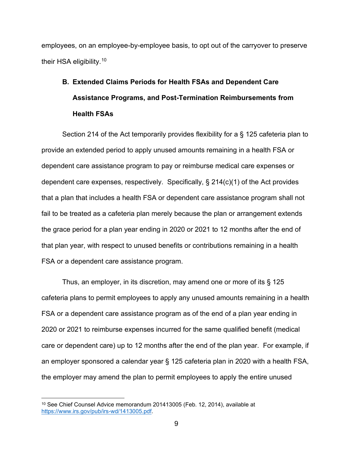employees, on an employee-by-employee basis, to opt out of the carryover to preserve their HSA eligibility.<sup>10</sup>

# **B. Extended Claims Periods for Health FSAs and Dependent Care Assistance Programs, and Post-Termination Reimbursements from Health FSAs**

Section 214 of the Act temporarily provides flexibility for a § 125 cafeteria plan to provide an extended period to apply unused amounts remaining in a health FSA or dependent care assistance program to pay or reimburse medical care expenses or dependent care expenses, respectively. Specifically, § 214(c)(1) of the Act provides that a plan that includes a health FSA or dependent care assistance program shall not fail to be treated as a cafeteria plan merely because the plan or arrangement extends the grace period for a plan year ending in 2020 or 2021 to 12 months after the end of that plan year, with respect to unused benefits or contributions remaining in a health FSA or a dependent care assistance program.

Thus, an employer, in its discretion, may amend one or more of its § 125 cafeteria plans to permit employees to apply any unused amounts remaining in a health FSA or a dependent care assistance program as of the end of a plan year ending in 2020 or 2021 to reimburse expenses incurred for the same qualified benefit (medical care or dependent care) up to 12 months after the end of the plan year. For example, if an employer sponsored a calendar year § 125 cafeteria plan in 2020 with a health FSA, the employer may amend the plan to permit employees to apply the entire unused

<span id="page-8-0"></span><sup>&</sup>lt;sup>10</sup> See Chief Counsel Advice memorandum 201413005 (Feb. 12, 2014), available at [https://www.irs.gov/pub/irs-wd/1413005.pdf.](https://www.irs.gov/pub/irs-wd/1413005.pdf)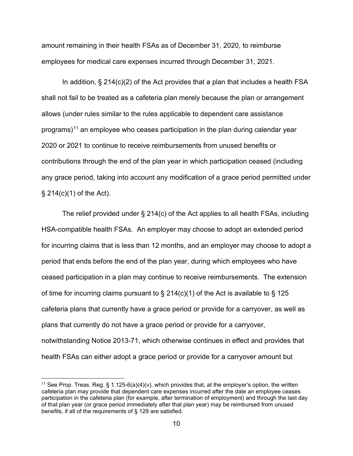amount remaining in their health FSAs as of December 31, 2020, to reimburse employees for medical care expenses incurred through December 31, 2021.

In addition,  $\S 214(c)(2)$  of the Act provides that a plan that includes a health FSA shall not fail to be treated as a cafeteria plan merely because the plan or arrangement allows (under rules similar to the rules applicable to dependent care assistance programs)[11](#page-9-0) an employee who ceases participation in the plan during calendar year 2020 or 2021 to continue to receive reimbursements from unused benefits or contributions through the end of the plan year in which participation ceased (including any grace period, taking into account any modification of a grace period permitted under § 214(c)(1) of the Act).

The relief provided under § 214(c) of the Act applies to all health FSAs, including HSA-compatible health FSAs. An employer may choose to adopt an extended period for incurring claims that is less than 12 months, and an employer may choose to adopt a period that ends before the end of the plan year, during which employees who have ceased participation in a plan may continue to receive reimbursements. The extension of time for incurring claims pursuant to  $\S 214(c)(1)$  of the Act is available to  $\S 125$ cafeteria plans that currently have a grace period or provide for a carryover, as well as plans that currently do not have a grace period or provide for a carryover, notwithstanding Notice 2013-71, which otherwise continues in effect and provides that health FSAs can either adopt a grace period or provide for a carryover amount but

<span id="page-9-0"></span><sup>&</sup>lt;sup>11</sup> See Prop. Treas. Reg. § 1.125-6(a)(4)(v), which provides that, at the employer's option, the written cafeteria plan may provide that dependent care expenses incurred after the date an employee ceases participation in the cafeteria plan (for example, after termination of employment) and through the last day of that plan year (or grace period immediately after that plan year) may be reimbursed from unused benefits, if all of the requirements of § 129 are satisfied.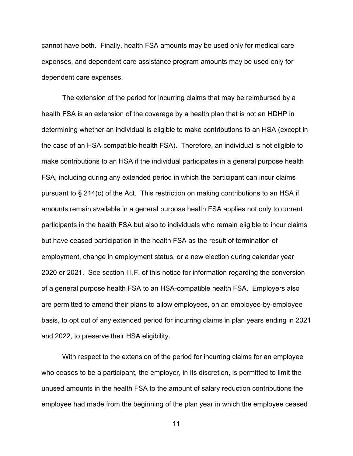cannot have both. Finally, health FSA amounts may be used only for medical care expenses, and dependent care assistance program amounts may be used only for dependent care expenses.

The extension of the period for incurring claims that may be reimbursed by a health FSA is an extension of the coverage by a health plan that is not an HDHP in determining whether an individual is eligible to make contributions to an HSA (except in the case of an HSA-compatible health FSA). Therefore, an individual is not eligible to make contributions to an HSA if the individual participates in a general purpose health FSA, including during any extended period in which the participant can incur claims pursuant to § 214(c) of the Act. This restriction on making contributions to an HSA if amounts remain available in a general purpose health FSA applies not only to current participants in the health FSA but also to individuals who remain eligible to incur claims but have ceased participation in the health FSA as the result of termination of employment, change in employment status, or a new election during calendar year 2020 or 2021. See section III.F. of this notice for information regarding the conversion of a general purpose health FSA to an HSA-compatible health FSA. Employers also are permitted to amend their plans to allow employees, on an employee-by-employee basis, to opt out of any extended period for incurring claims in plan years ending in 2021 and 2022, to preserve their HSA eligibility.

With respect to the extension of the period for incurring claims for an employee who ceases to be a participant, the employer, in its discretion, is permitted to limit the unused amounts in the health FSA to the amount of salary reduction contributions the employee had made from the beginning of the plan year in which the employee ceased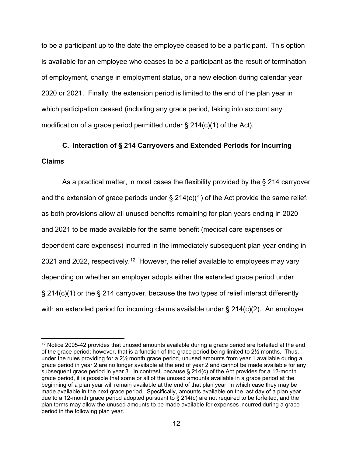to be a participant up to the date the employee ceased to be a participant. This option is available for an employee who ceases to be a participant as the result of termination of employment, change in employment status, or a new election during calendar year 2020 or 2021. Finally, the extension period is limited to the end of the plan year in which participation ceased (including any grace period, taking into account any modification of a grace period permitted under § 214(c)(1) of the Act).

## **C. Interaction of § 214 Carryovers and Extended Periods for Incurring Claims**

As a practical matter, in most cases the flexibility provided by the § 214 carryover and the extension of grace periods under  $\S 214(c)(1)$  of the Act provide the same relief, as both provisions allow all unused benefits remaining for plan years ending in 2020 and 2021 to be made available for the same benefit (medical care expenses or dependent care expenses) incurred in the immediately subsequent plan year ending in 2021 and 2022, respectively.<sup>12</sup> However, the relief available to employees may vary depending on whether an employer adopts either the extended grace period under § 214(c)(1) or the § 214 carryover, because the two types of relief interact differently with an extended period for incurring claims available under  $\S$  214(c)(2). An employer

<span id="page-11-0"></span><sup>&</sup>lt;sup>12</sup> Notice 2005-42 provides that unused amounts available during a grace period are forfeited at the end of the grace period; however, that is a function of the grace period being limited to 2½ months. Thus, under the rules providing for a 2½ month grace period, unused amounts from year 1 available during a grace period in year 2 are no longer available at the end of year 2 and cannot be made available for any subsequent grace period in year 3. In contrast, because § 214(c) of the Act provides for a 12-month grace period, it is possible that some or all of the unused amounts available in a grace period at the beginning of a plan year will remain available at the end of that plan year, in which case they may be made available in the next grace period. Specifically, amounts available on the last day of a plan year due to a 12-month grace period adopted pursuant to § 214(c) are not required to be forfeited, and the plan terms may allow the unused amounts to be made available for expenses incurred during a grace period in the following plan year.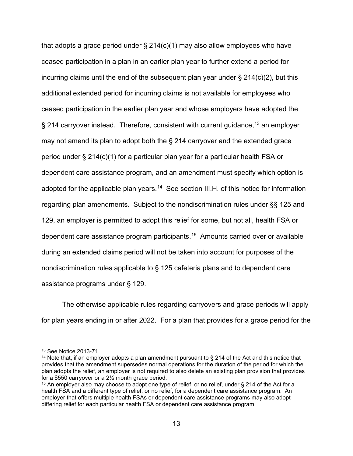that adopts a grace period under  $\S 214(c)(1)$  may also allow employees who have ceased participation in a plan in an earlier plan year to further extend a period for incurring claims until the end of the subsequent plan year under  $\S 214(c)(2)$ , but this additional extended period for incurring claims is not available for employees who ceased participation in the earlier plan year and whose employers have adopted the  $\S$  214 carryover instead. Therefore, consistent with current guidance,  $13$  an employer may not amend its plan to adopt both the § 214 carryover and the extended grace period under § 214(c)(1) for a particular plan year for a particular health FSA or dependent care assistance program, and an amendment must specify which option is adopted for the applicable plan years.<sup>14</sup> See section III.H. of this notice for information regarding plan amendments. Subject to the nondiscrimination rules under §§ 125 and 129, an employer is permitted to adopt this relief for some, but not all, health FSA or dependent care assistance program participants.[15](#page-12-2) Amounts carried over or available during an extended claims period will not be taken into account for purposes of the nondiscrimination rules applicable to § 125 cafeteria plans and to dependent care assistance programs under § 129.

The otherwise applicable rules regarding carryovers and grace periods will apply for plan years ending in or after 2022. For a plan that provides for a grace period for the

<span id="page-12-0"></span><sup>13</sup> See Notice 2013-71.

<span id="page-12-1"></span><sup>&</sup>lt;sup>14</sup> Note that, if an employer adopts a plan amendment pursuant to § 214 of the Act and this notice that provides that the amendment supersedes normal operations for the duration of the period for which the plan adopts the relief, an employer is not required to also delete an existing plan provision that provides for a \$550 carryover or a 2½ month grace period.

<span id="page-12-2"></span><sup>15</sup> An employer also may choose to adopt one type of relief, or no relief, under § 214 of the Act for a health FSA and a different type of relief, or no relief, for a dependent care assistance program. An employer that offers multiple health FSAs or dependent care assistance programs may also adopt differing relief for each particular health FSA or dependent care assistance program.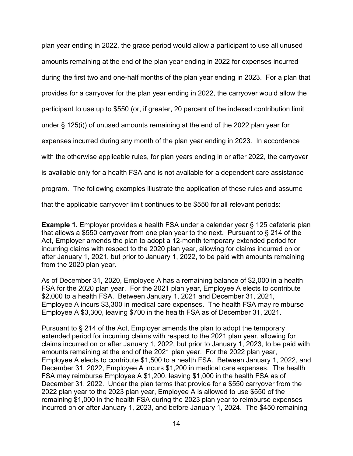plan year ending in 2022, the grace period would allow a participant to use all unused amounts remaining at the end of the plan year ending in 2022 for expenses incurred during the first two and one-half months of the plan year ending in 2023. For a plan that provides for a carryover for the plan year ending in 2022, the carryover would allow the participant to use up to \$550 (or, if greater, 20 percent of the indexed contribution limit under § 125(i)) of unused amounts remaining at the end of the 2022 plan year for expenses incurred during any month of the plan year ending in 2023. In accordance with the otherwise applicable rules, for plan years ending in or after 2022, the carryover is available only for a health FSA and is not available for a dependent care assistance program. The following examples illustrate the application of these rules and assume that the applicable carryover limit continues to be \$550 for all relevant periods:

**Example 1.** Employer provides a health FSA under a calendar year § 125 cafeteria plan that allows a \$550 carryover from one plan year to the next. Pursuant to § 214 of the Act, Employer amends the plan to adopt a 12-month temporary extended period for incurring claims with respect to the 2020 plan year, allowing for claims incurred on or after January 1, 2021, but prior to January 1, 2022, to be paid with amounts remaining from the 2020 plan year.

As of December 31, 2020, Employee A has a remaining balance of \$2,000 in a health FSA for the 2020 plan year. For the 2021 plan year, Employee A elects to contribute \$2,000 to a health FSA. Between January 1, 2021 and December 31, 2021, Employee A incurs \$3,300 in medical care expenses. The health FSA may reimburse Employee A \$3,300, leaving \$700 in the health FSA as of December 31, 2021.

Pursuant to § 214 of the Act, Employer amends the plan to adopt the temporary extended period for incurring claims with respect to the 2021 plan year, allowing for claims incurred on or after January 1, 2022, but prior to January 1, 2023, to be paid with amounts remaining at the end of the 2021 plan year. For the 2022 plan year, Employee A elects to contribute \$1,500 to a health FSA. Between January 1, 2022, and December 31, 2022, Employee A incurs \$1,200 in medical care expenses. The health FSA may reimburse Employee A \$1,200, leaving \$1,000 in the health FSA as of December 31, 2022. Under the plan terms that provide for a \$550 carryover from the 2022 plan year to the 2023 plan year, Employee A is allowed to use \$550 of the remaining \$1,000 in the health FSA during the 2023 plan year to reimburse expenses incurred on or after January 1, 2023, and before January 1, 2024. The \$450 remaining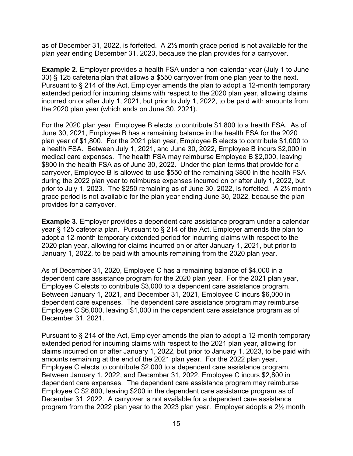as of December 31, 2022, is forfeited. A 2½ month grace period is not available for the plan year ending December 31, 2023, because the plan provides for a carryover.

**Example 2.** Employer provides a health FSA under a non-calendar year (July 1 to June 30) § 125 cafeteria plan that allows a \$550 carryover from one plan year to the next. Pursuant to § 214 of the Act, Employer amends the plan to adopt a 12-month temporary extended period for incurring claims with respect to the 2020 plan year, allowing claims incurred on or after July 1, 2021, but prior to July 1, 2022, to be paid with amounts from the 2020 plan year (which ends on June 30, 2021).

For the 2020 plan year, Employee B elects to contribute \$1,800 to a health FSA. As of June 30, 2021, Employee B has a remaining balance in the health FSA for the 2020 plan year of \$1,800. For the 2021 plan year, Employee B elects to contribute \$1,000 to a health FSA. Between July 1, 2021, and June 30, 2022, Employee B incurs \$2,000 in medical care expenses. The health FSA may reimburse Employee B \$2,000, leaving \$800 in the health FSA as of June 30, 2022. Under the plan terms that provide for a carryover, Employee B is allowed to use \$550 of the remaining \$800 in the health FSA during the 2022 plan year to reimburse expenses incurred on or after July 1, 2022, but prior to July 1, 2023. The \$250 remaining as of June 30, 2022, is forfeited. A 2½ month grace period is not available for the plan year ending June 30, 2022, because the plan provides for a carryover.

**Example 3.** Employer provides a dependent care assistance program under a calendar year § 125 cafeteria plan. Pursuant to § 214 of the Act, Employer amends the plan to adopt a 12-month temporary extended period for incurring claims with respect to the 2020 plan year, allowing for claims incurred on or after January 1, 2021, but prior to January 1, 2022, to be paid with amounts remaining from the 2020 plan year.

As of December 31, 2020, Employee C has a remaining balance of \$4,000 in a dependent care assistance program for the 2020 plan year. For the 2021 plan year, Employee C elects to contribute \$3,000 to a dependent care assistance program. Between January 1, 2021, and December 31, 2021, Employee C incurs \$6,000 in dependent care expenses. The dependent care assistance program may reimburse Employee C \$6,000, leaving \$1,000 in the dependent care assistance program as of December 31, 2021.

Pursuant to § 214 of the Act, Employer amends the plan to adopt a 12-month temporary extended period for incurring claims with respect to the 2021 plan year, allowing for claims incurred on or after January 1, 2022, but prior to January 1, 2023, to be paid with amounts remaining at the end of the 2021 plan year. For the 2022 plan year, Employee C elects to contribute \$2,000 to a dependent care assistance program. Between January 1, 2022, and December 31, 2022, Employee C incurs \$2,800 in dependent care expenses. The dependent care assistance program may reimburse Employee C \$2,800, leaving \$200 in the dependent care assistance program as of December 31, 2022. A carryover is not available for a dependent care assistance program from the 2022 plan year to the 2023 plan year. Employer adopts a 2½ month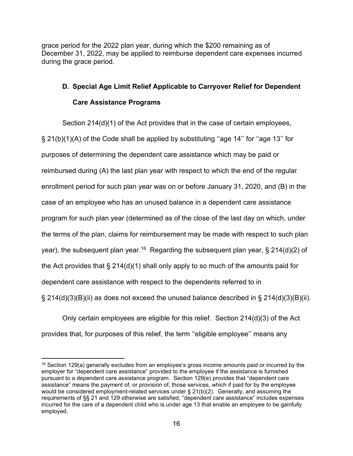grace period for the 2022 plan year, during which the \$200 remaining as of December 31, 2022, may be applied to reimburse dependent care expenses incurred during the grace period.

## **D. Special Age Limit Relief Applicable to Carryover Relief for Dependent Care Assistance Programs**

Section 214(d)(1) of the Act provides that in the case of certain employees, § 21(b)(1)(A) of the Code shall be applied by substituting ''age 14'' for ''age 13'' for purposes of determining the dependent care assistance which may be paid or reimbursed during (A) the last plan year with respect to which the end of the regular enrollment period for such plan year was on or before January 31, 2020, and (B) in the case of an employee who has an unused balance in a dependent care assistance program for such plan year (determined as of the close of the last day on which, under the terms of the plan, claims for reimbursement may be made with respect to such plan year), the subsequent plan year.<sup>[16](#page-15-0)</sup> Regarding the subsequent plan year, § 214(d)(2) of the Act provides that § 214(d)(1) shall only apply to so much of the amounts paid for dependent care assistance with respect to the dependents referred to in  $\S 214(d)(3)(B)(ii)$  as does not exceed the unused balance described in  $\S 214(d)(3)(B)(ii)$ .

Only certain employees are eligible for this relief. Section 214(d)(3) of the Act provides that, for purposes of this relief, the term ''eligible employee'' means any

<span id="page-15-0"></span> $16$  Section 129(a) generally excludes from an employee's gross income amounts paid or incurred by the employer for "dependent care assistance" provided to the employee if the assistance is furnished pursuant to a dependent care assistance program. Section 129(e) provides that "dependent care assistance" means the payment of, or provision of, those services, which if paid for by the employee would be considered employment-related services under § 21(b)(2). Generally, and assuming the requirements of §§ 21 and 129 otherwise are satisfied, "dependent care assistance" includes expenses incurred for the care of a dependent child who is under age 13 that enable an employee to be gainfully employed.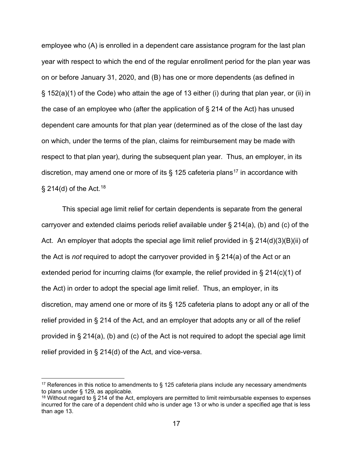employee who (A) is enrolled in a dependent care assistance program for the last plan year with respect to which the end of the regular enrollment period for the plan year was on or before January 31, 2020, and (B) has one or more dependents (as defined in § 152(a)(1) of the Code) who attain the age of 13 either (i) during that plan year, or (ii) in the case of an employee who (after the application of § 214 of the Act) has unused dependent care amounts for that plan year (determined as of the close of the last day on which, under the terms of the plan, claims for reimbursement may be made with respect to that plan year), during the subsequent plan year. Thus, an employer, in its discretion, may amend one or more of its  $\S$  125 cafeteria plans<sup>[17](#page-16-0)</sup> in accordance with  $\S$  214(d) of the Act.<sup>[18](#page-16-1)</sup>

This special age limit relief for certain dependents is separate from the general carryover and extended claims periods relief available under  $\S 214(a)$ , (b) and (c) of the Act. An employer that adopts the special age limit relief provided in  $\S$  214(d)(3)(B)(ii) of the Act is *not* required to adopt the carryover provided in § 214(a) of the Act or an extended period for incurring claims (for example, the relief provided in § 214(c)(1) of the Act) in order to adopt the special age limit relief. Thus, an employer, in its discretion, may amend one or more of its § 125 cafeteria plans to adopt any or all of the relief provided in § 214 of the Act, and an employer that adopts any or all of the relief provided in § 214(a), (b) and (c) of the Act is not required to adopt the special age limit relief provided in § 214(d) of the Act, and vice-versa.

<span id="page-16-0"></span><sup>&</sup>lt;sup>17</sup> References in this notice to amendments to  $\S$  125 cafeteria plans include any necessary amendments to plans under § 129, as applicable.

<span id="page-16-1"></span> $18$  Without regard to § 214 of the Act, employers are permitted to limit reimbursable expenses to expenses incurred for the care of a dependent child who is under age 13 or who is under a specified age that is less than age 13.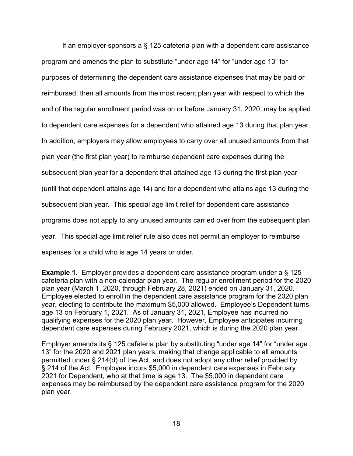If an employer sponsors a § 125 cafeteria plan with a dependent care assistance program and amends the plan to substitute "under age 14" for "under age 13" for purposes of determining the dependent care assistance expenses that may be paid or reimbursed, then all amounts from the most recent plan year with respect to which the end of the regular enrollment period was on or before January 31, 2020, may be applied to dependent care expenses for a dependent who attained age 13 during that plan year. In addition, employers may allow employees to carry over all unused amounts from that plan year (the first plan year) to reimburse dependent care expenses during the subsequent plan year for a dependent that attained age 13 during the first plan year (until that dependent attains age 14) and for a dependent who attains age 13 during the subsequent plan year. This special age limit relief for dependent care assistance programs does not apply to any unused amounts carried over from the subsequent plan year. This special age limit relief rule also does not permit an employer to reimburse expenses for a child who is age 14 years or older.

**Example 1.** Employer provides a dependent care assistance program under a § 125 cafeteria plan with a non-calendar plan year. The regular enrollment period for the 2020 plan year (March 1, 2020, through February 28, 2021) ended on January 31, 2020. Employee elected to enroll in the dependent care assistance program for the 2020 plan year, electing to contribute the maximum \$5,000 allowed. Employee's Dependent turns age 13 on February 1, 2021. As of January 31, 2021, Employee has incurred no qualifying expenses for the 2020 plan year. However, Employee anticipates incurring dependent care expenses during February 2021, which is during the 2020 plan year.

Employer amends its § 125 cafeteria plan by substituting "under age 14" for "under age 13" for the 2020 and 2021 plan years, making that change applicable to all amounts permitted under § 214(d) of the Act, and does not adopt any other relief provided by § 214 of the Act. Employee incurs \$5,000 in dependent care expenses in February 2021 for Dependent, who at that time is age 13. The \$5,000 in dependent care expenses may be reimbursed by the dependent care assistance program for the 2020 plan year.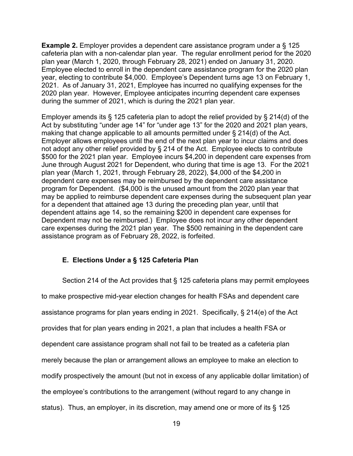**Example 2.** Employer provides a dependent care assistance program under a § 125 cafeteria plan with a non-calendar plan year. The regular enrollment period for the 2020 plan year (March 1, 2020, through February 28, 2021) ended on January 31, 2020. Employee elected to enroll in the dependent care assistance program for the 2020 plan year, electing to contribute \$4,000. Employee's Dependent turns age 13 on February 1, 2021. As of January 31, 2021, Employee has incurred no qualifying expenses for the 2020 plan year. However, Employee anticipates incurring dependent care expenses during the summer of 2021, which is during the 2021 plan year.

Employer amends its § 125 cafeteria plan to adopt the relief provided by § 214(d) of the Act by substituting "under age 14" for "under age 13" for the 2020 and 2021 plan years, making that change applicable to all amounts permitted under § 214(d) of the Act. Employer allows employees until the end of the next plan year to incur claims and does not adopt any other relief provided by § 214 of the Act. Employee elects to contribute \$500 for the 2021 plan year. Employee incurs \$4,200 in dependent care expenses from June through August 2021 for Dependent, who during that time is age 13. For the 2021 plan year (March 1, 2021, through February 28, 2022), \$4,000 of the \$4,200 in dependent care expenses may be reimbursed by the dependent care assistance program for Dependent. (\$4,000 is the unused amount from the 2020 plan year that may be applied to reimburse dependent care expenses during the subsequent plan year for a dependent that attained age 13 during the preceding plan year, until that dependent attains age 14, so the remaining \$200 in dependent care expenses for Dependent may not be reimbursed.) Employee does not incur any other dependent care expenses during the 2021 plan year. The \$500 remaining in the dependent care assistance program as of February 28, 2022, is forfeited.

### **E. Elections Under a § 125 Cafeteria Plan**

Section 214 of the Act provides that § 125 cafeteria plans may permit employees to make prospective mid-year election changes for health FSAs and dependent care assistance programs for plan years ending in 2021. Specifically, § 214(e) of the Act provides that for plan years ending in 2021, a plan that includes a health FSA or dependent care assistance program shall not fail to be treated as a cafeteria plan merely because the plan or arrangement allows an employee to make an election to modify prospectively the amount (but not in excess of any applicable dollar limitation) of the employee's contributions to the arrangement (without regard to any change in status). Thus, an employer, in its discretion, may amend one or more of its § 125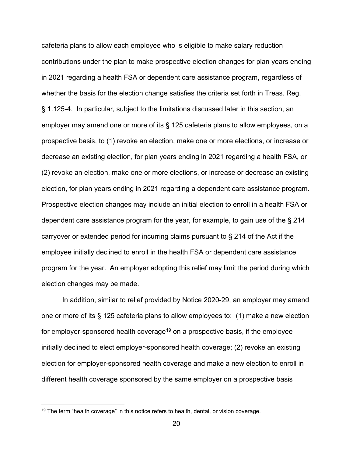cafeteria plans to allow each employee who is eligible to make salary reduction contributions under the plan to make prospective election changes for plan years ending in 2021 regarding a health FSA or dependent care assistance program, regardless of whether the basis for the election change satisfies the criteria set forth in Treas. Reg. § 1.125-4. In particular, subject to the limitations discussed later in this section, an employer may amend one or more of its § 125 cafeteria plans to allow employees, on a prospective basis, to (1) revoke an election, make one or more elections, or increase or decrease an existing election, for plan years ending in 2021 regarding a health FSA, or (2) revoke an election, make one or more elections, or increase or decrease an existing election, for plan years ending in 2021 regarding a dependent care assistance program. Prospective election changes may include an initial election to enroll in a health FSA or dependent care assistance program for the year, for example, to gain use of the § 214 carryover or extended period for incurring claims pursuant to § 214 of the Act if the employee initially declined to enroll in the health FSA or dependent care assistance program for the year. An employer adopting this relief may limit the period during which election changes may be made.

In addition, similar to relief provided by Notice 2020-29, an employer may amend one or more of its § 125 cafeteria plans to allow employees to: (1) make a new election for employer-sponsored health coverage<sup>[19](#page-19-0)</sup> on a prospective basis, if the employee initially declined to elect employer-sponsored health coverage; (2) revoke an existing election for employer-sponsored health coverage and make a new election to enroll in different health coverage sponsored by the same employer on a prospective basis

<span id="page-19-0"></span> $19$  The term "health coverage" in this notice refers to health, dental, or vision coverage.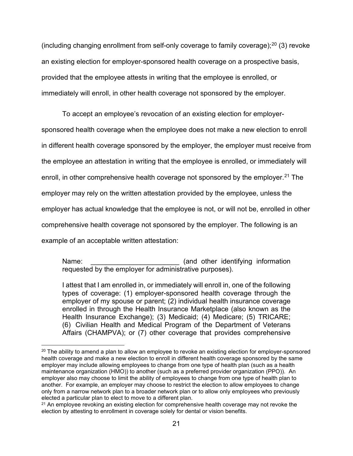(including changing enrollment from self-only coverage to family coverage); $^{20}$  $^{20}$  $^{20}$  (3) revoke an existing election for employer-sponsored health coverage on a prospective basis, provided that the employee attests in writing that the employee is enrolled, or immediately will enroll, in other health coverage not sponsored by the employer.

To accept an employee's revocation of an existing election for employersponsored health coverage when the employee does not make a new election to enroll in different health coverage sponsored by the employer, the employer must receive from the employee an attestation in writing that the employee is enrolled, or immediately will enroll, in other comprehensive health coverage not sponsored by the employer.<sup>[21](#page-20-1)</sup> The employer may rely on the written attestation provided by the employee, unless the employer has actual knowledge that the employee is not, or will not be, enrolled in other comprehensive health coverage not sponsored by the employer. The following is an example of an acceptable written attestation:

Name: with the contract of the contract of the contract of the contract of the contract of the contract of the contract of the contract of the contract of the contract of the contract of the contract of the contract of the requested by the employer for administrative purposes).

I attest that I am enrolled in, or immediately will enroll in, one of the following types of coverage: (1) employer-sponsored health coverage through the employer of my spouse or parent; (2) individual health insurance coverage enrolled in through the Health Insurance Marketplace (also known as the Health Insurance Exchange); (3) Medicaid; (4) Medicare; (5) TRICARE; (6) Civilian Health and Medical Program of the Department of Veterans Affairs (CHAMPVA); or (7) other coverage that provides comprehensive

<span id="page-20-0"></span><sup>&</sup>lt;sup>20</sup> The ability to amend a plan to allow an employee to revoke an existing election for employer-sponsored health coverage and make a new election to enroll in different health coverage sponsored by the same employer may include allowing employees to change from one type of health plan (such as a health maintenance organization (HMO)) to another (such as a preferred provider organization (PPO)). An employer also may choose to limit the ability of employees to change from one type of health plan to another. For example, an employer may choose to restrict the election to allow employees to change only from a narrow network plan to a broader network plan or to allow only employees who previously elected a particular plan to elect to move to a different plan.

<span id="page-20-1"></span> $21$  An employee revoking an existing election for comprehensive health coverage may not revoke the election by attesting to enrollment in coverage solely for dental or vision benefits.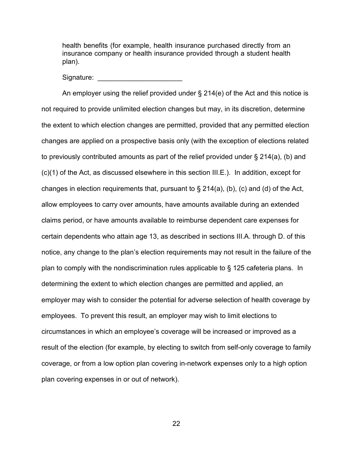health benefits (for example, health insurance purchased directly from an insurance company or health insurance provided through a student health plan).

Signature:

An employer using the relief provided under § 214(e) of the Act and this notice is not required to provide unlimited election changes but may, in its discretion, determine the extent to which election changes are permitted, provided that any permitted election changes are applied on a prospective basis only (with the exception of elections related to previously contributed amounts as part of the relief provided under § 214(a), (b) and (c)(1) of the Act, as discussed elsewhere in this section III.E.). In addition, except for changes in election requirements that, pursuant to § 214(a), (b), (c) and (d) of the Act, allow employees to carry over amounts, have amounts available during an extended claims period, or have amounts available to reimburse dependent care expenses for certain dependents who attain age 13, as described in sections III.A. through D. of this notice, any change to the plan's election requirements may not result in the failure of the plan to comply with the nondiscrimination rules applicable to § 125 cafeteria plans. In determining the extent to which election changes are permitted and applied, an employer may wish to consider the potential for adverse selection of health coverage by employees. To prevent this result, an employer may wish to limit elections to circumstances in which an employee's coverage will be increased or improved as a result of the election (for example, by electing to switch from self-only coverage to family coverage, or from a low option plan covering in-network expenses only to a high option plan covering expenses in or out of network).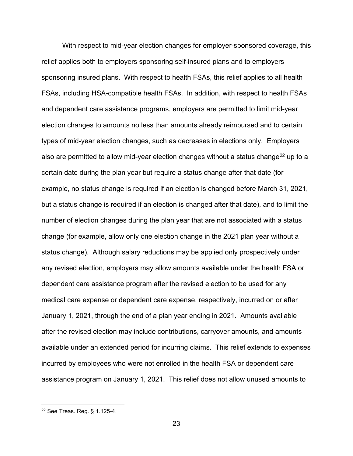With respect to mid-year election changes for employer-sponsored coverage, this relief applies both to employers sponsoring self-insured plans and to employers sponsoring insured plans. With respect to health FSAs, this relief applies to all health FSAs, including HSA-compatible health FSAs. In addition, with respect to health FSAs and dependent care assistance programs, employers are permitted to limit mid-year election changes to amounts no less than amounts already reimbursed and to certain types of mid-year election changes, such as decreases in elections only. Employers also are permitted to allow mid-year election changes without a status change<sup>[22](#page-22-0)</sup> up to a certain date during the plan year but require a status change after that date (for example, no status change is required if an election is changed before March 31, 2021, but a status change is required if an election is changed after that date), and to limit the number of election changes during the plan year that are not associated with a status change (for example, allow only one election change in the 2021 plan year without a status change). Although salary reductions may be applied only prospectively under any revised election, employers may allow amounts available under the health FSA or dependent care assistance program after the revised election to be used for any medical care expense or dependent care expense, respectively, incurred on or after January 1, 2021, through the end of a plan year ending in 2021. Amounts available after the revised election may include contributions, carryover amounts, and amounts available under an extended period for incurring claims. This relief extends to expenses incurred by employees who were not enrolled in the health FSA or dependent care assistance program on January 1, 2021. This relief does not allow unused amounts to

<span id="page-22-0"></span><sup>22</sup> See Treas. Reg. § 1.125-4.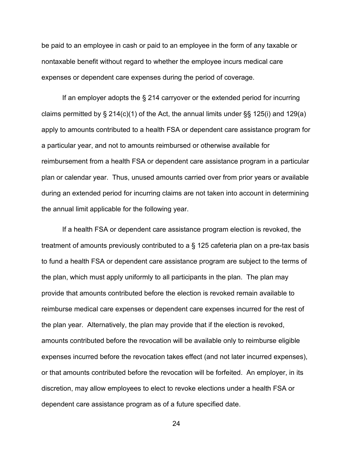be paid to an employee in cash or paid to an employee in the form of any taxable or nontaxable benefit without regard to whether the employee incurs medical care expenses or dependent care expenses during the period of coverage.

If an employer adopts the § 214 carryover or the extended period for incurring claims permitted by  $\S 214(c)(1)$  of the Act, the annual limits under  $\S § 125(i)$  and  $129(a)$ apply to amounts contributed to a health FSA or dependent care assistance program for a particular year, and not to amounts reimbursed or otherwise available for reimbursement from a health FSA or dependent care assistance program in a particular plan or calendar year. Thus, unused amounts carried over from prior years or available during an extended period for incurring claims are not taken into account in determining the annual limit applicable for the following year.

If a health FSA or dependent care assistance program election is revoked, the treatment of amounts previously contributed to a § 125 cafeteria plan on a pre-tax basis to fund a health FSA or dependent care assistance program are subject to the terms of the plan, which must apply uniformly to all participants in the plan. The plan may provide that amounts contributed before the election is revoked remain available to reimburse medical care expenses or dependent care expenses incurred for the rest of the plan year. Alternatively, the plan may provide that if the election is revoked, amounts contributed before the revocation will be available only to reimburse eligible expenses incurred before the revocation takes effect (and not later incurred expenses), or that amounts contributed before the revocation will be forfeited. An employer, in its discretion, may allow employees to elect to revoke elections under a health FSA or dependent care assistance program as of a future specified date.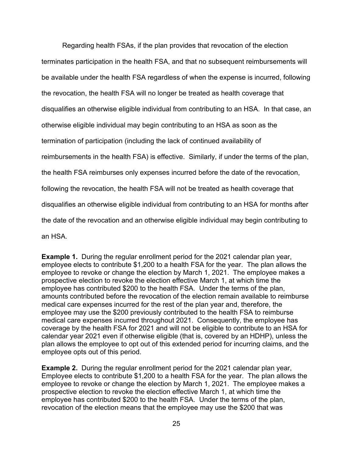Regarding health FSAs, if the plan provides that revocation of the election terminates participation in the health FSA, and that no subsequent reimbursements will be available under the health FSA regardless of when the expense is incurred, following the revocation, the health FSA will no longer be treated as health coverage that disqualifies an otherwise eligible individual from contributing to an HSA. In that case, an otherwise eligible individual may begin contributing to an HSA as soon as the termination of participation (including the lack of continued availability of reimbursements in the health FSA) is effective. Similarly, if under the terms of the plan, the health FSA reimburses only expenses incurred before the date of the revocation, following the revocation, the health FSA will not be treated as health coverage that disqualifies an otherwise eligible individual from contributing to an HSA for months after the date of the revocation and an otherwise eligible individual may begin contributing to an HSA.

**Example 1.** During the regular enrollment period for the 2021 calendar plan year, employee elects to contribute \$1,200 to a health FSA for the year. The plan allows the employee to revoke or change the election by March 1, 2021. The employee makes a prospective election to revoke the election effective March 1, at which time the employee has contributed \$200 to the health FSA. Under the terms of the plan, amounts contributed before the revocation of the election remain available to reimburse medical care expenses incurred for the rest of the plan year and, therefore, the employee may use the \$200 previously contributed to the health FSA to reimburse medical care expenses incurred throughout 2021. Consequently, the employee has coverage by the health FSA for 2021 and will not be eligible to contribute to an HSA for calendar year 2021 even if otherwise eligible (that is, covered by an HDHP), unless the plan allows the employee to opt out of this extended period for incurring claims, and the employee opts out of this period.

**Example 2.** During the regular enrollment period for the 2021 calendar plan year, Employee elects to contribute \$1,200 to a health FSA for the year. The plan allows the employee to revoke or change the election by March 1, 2021. The employee makes a prospective election to revoke the election effective March 1, at which time the employee has contributed \$200 to the health FSA. Under the terms of the plan, revocation of the election means that the employee may use the \$200 that was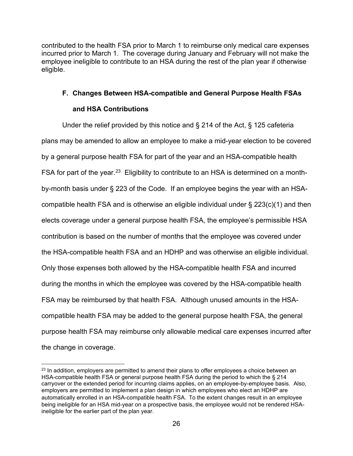contributed to the health FSA prior to March 1 to reimburse only medical care expenses incurred prior to March 1. The coverage during January and February will not make the employee ineligible to contribute to an HSA during the rest of the plan year if otherwise eligible.

### **F. Changes Between HSA-compatible and General Purpose Health FSAs**

### **and HSA Contributions**

Under the relief provided by this notice and § 214 of the Act, § 125 cafeteria plans may be amended to allow an employee to make a mid-year election to be covered by a general purpose health FSA for part of the year and an HSA-compatible health FSA for part of the year.<sup>[23](#page-25-0)</sup> Eligibility to contribute to an HSA is determined on a monthby-month basis under § 223 of the Code. If an employee begins the year with an HSAcompatible health FSA and is otherwise an eligible individual under § 223(c)(1) and then elects coverage under a general purpose health FSA, the employee's permissible HSA contribution is based on the number of months that the employee was covered under the HSA-compatible health FSA and an HDHP and was otherwise an eligible individual. Only those expenses both allowed by the HSA-compatible health FSA and incurred during the months in which the employee was covered by the HSA-compatible health FSA may be reimbursed by that health FSA. Although unused amounts in the HSAcompatible health FSA may be added to the general purpose health FSA, the general purpose health FSA may reimburse only allowable medical care expenses incurred after the change in coverage.

<span id="page-25-0"></span> $23$  In addition, employers are permitted to amend their plans to offer employees a choice between an HSA-compatible health FSA or general purpose health FSA during the period to which the § 214 carryover or the extended period for incurring claims applies, on an employee-by-employee basis. Also, employers are permitted to implement a plan design in which employees who elect an HDHP are automatically enrolled in an HSA-compatible health FSA. To the extent changes result in an employee being ineligible for an HSA mid-year on a prospective basis, the employee would not be rendered HSAineligible for the earlier part of the plan year.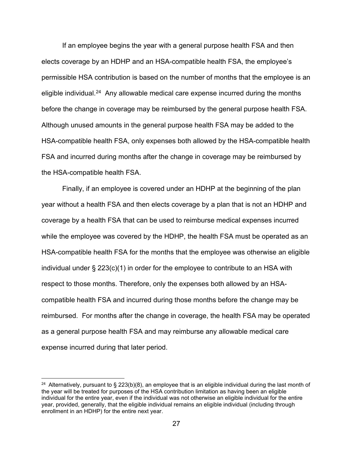If an employee begins the year with a general purpose health FSA and then elects coverage by an HDHP and an HSA-compatible health FSA, the employee's permissible HSA contribution is based on the number of months that the employee is an eligible individual.<sup>[24](#page-26-0)</sup> Any allowable medical care expense incurred during the months before the change in coverage may be reimbursed by the general purpose health FSA. Although unused amounts in the general purpose health FSA may be added to the HSA-compatible health FSA, only expenses both allowed by the HSA-compatible health FSA and incurred during months after the change in coverage may be reimbursed by the HSA-compatible health FSA.

Finally, if an employee is covered under an HDHP at the beginning of the plan year without a health FSA and then elects coverage by a plan that is not an HDHP and coverage by a health FSA that can be used to reimburse medical expenses incurred while the employee was covered by the HDHP, the health FSA must be operated as an HSA-compatible health FSA for the months that the employee was otherwise an eligible individual under § 223(c)(1) in order for the employee to contribute to an HSA with respect to those months. Therefore, only the expenses both allowed by an HSAcompatible health FSA and incurred during those months before the change may be reimbursed. For months after the change in coverage, the health FSA may be operated as a general purpose health FSA and may reimburse any allowable medical care expense incurred during that later period.

<span id="page-26-0"></span><sup>&</sup>lt;sup>24</sup> Alternatively, pursuant to § 223(b)(8), an employee that is an eligible individual during the last month of the year will be treated for purposes of the HSA contribution limitation as having been an eligible individual for the entire year, even if the individual was not otherwise an eligible individual for the entire year, provided, generally, that the eligible individual remains an eligible individual (including through enrollment in an HDHP) for the entire next year.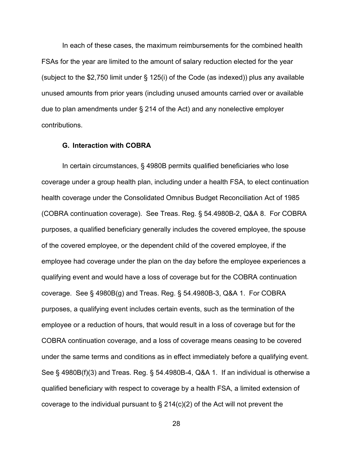In each of these cases, the maximum reimbursements for the combined health FSAs for the year are limited to the amount of salary reduction elected for the year (subject to the \$2,750 limit under § 125(i) of the Code (as indexed)) plus any available unused amounts from prior years (including unused amounts carried over or available due to plan amendments under § 214 of the Act) and any nonelective employer contributions.

#### **G. Interaction with COBRA**

In certain circumstances, § 4980B permits qualified beneficiaries who lose coverage under a group health plan, including under a health FSA, to elect continuation health coverage under the Consolidated Omnibus Budget Reconciliation Act of 1985 (COBRA continuation coverage). See Treas. Reg. § 54.4980B-2, Q&A 8. For COBRA purposes, a qualified beneficiary generally includes the covered employee, the spouse of the covered employee, or the dependent child of the covered employee, if the employee had coverage under the plan on the day before the employee experiences a qualifying event and would have a loss of coverage but for the COBRA continuation coverage. See § 4980B(g) and Treas. Reg. § 54.4980B-3, Q&A 1. For COBRA purposes, a qualifying event includes certain events, such as the termination of the employee or a reduction of hours, that would result in a loss of coverage but for the COBRA continuation coverage, and a loss of coverage means ceasing to be covered under the same terms and conditions as in effect immediately before a qualifying event. See § 4980B(f)(3) and Treas. Reg. § 54.4980B-4, Q&A 1. If an individual is otherwise a qualified beneficiary with respect to coverage by a health FSA, a limited extension of coverage to the individual pursuant to  $\S 214(c)(2)$  of the Act will not prevent the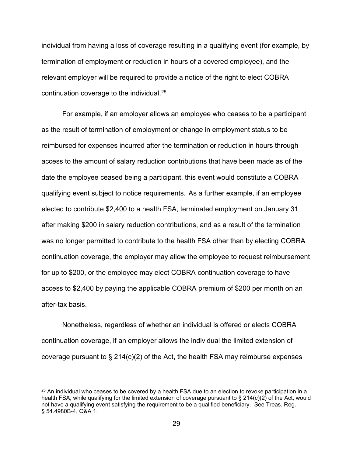individual from having a loss of coverage resulting in a qualifying event (for example, by termination of employment or reduction in hours of a covered employee), and the relevant employer will be required to provide a notice of the right to elect COBRA continuation coverage to the individual.[25](#page-28-0) 

For example, if an employer allows an employee who ceases to be a participant as the result of termination of employment or change in employment status to be reimbursed for expenses incurred after the termination or reduction in hours through access to the amount of salary reduction contributions that have been made as of the date the employee ceased being a participant, this event would constitute a COBRA qualifying event subject to notice requirements. As a further example, if an employee elected to contribute \$2,400 to a health FSA, terminated employment on January 31 after making \$200 in salary reduction contributions, and as a result of the termination was no longer permitted to contribute to the health FSA other than by electing COBRA continuation coverage, the employer may allow the employee to request reimbursement for up to \$200, or the employee may elect COBRA continuation coverage to have access to \$2,400 by paying the applicable COBRA premium of \$200 per month on an after-tax basis.

Nonetheless, regardless of whether an individual is offered or elects COBRA continuation coverage, if an employer allows the individual the limited extension of coverage pursuant to § 214(c)(2) of the Act, the health FSA may reimburse expenses

<span id="page-28-0"></span> $25$  An individual who ceases to be covered by a health FSA due to an election to revoke participation in a health FSA, while qualifying for the limited extension of coverage pursuant to § 214(c)(2) of the Act, would not have a qualifying event satisfying the requirement to be a qualified beneficiary. See Treas. Reg. § 54.4980B-4, Q&A 1.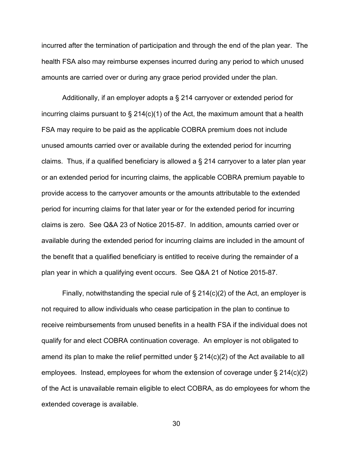incurred after the termination of participation and through the end of the plan year. The health FSA also may reimburse expenses incurred during any period to which unused amounts are carried over or during any grace period provided under the plan.

Additionally, if an employer adopts a § 214 carryover or extended period for incurring claims pursuant to  $\S 214(c)(1)$  of the Act, the maximum amount that a health FSA may require to be paid as the applicable COBRA premium does not include unused amounts carried over or available during the extended period for incurring claims. Thus, if a qualified beneficiary is allowed a § 214 carryover to a later plan year or an extended period for incurring claims, the applicable COBRA premium payable to provide access to the carryover amounts or the amounts attributable to the extended period for incurring claims for that later year or for the extended period for incurring claims is zero. See Q&A 23 of Notice 2015-87. In addition, amounts carried over or available during the extended period for incurring claims are included in the amount of the benefit that a qualified beneficiary is entitled to receive during the remainder of a plan year in which a qualifying event occurs. See Q&A 21 of Notice 2015-87.

Finally, notwithstanding the special rule of  $\S 214(c)(2)$  of the Act, an employer is not required to allow individuals who cease participation in the plan to continue to receive reimbursements from unused benefits in a health FSA if the individual does not qualify for and elect COBRA continuation coverage. An employer is not obligated to amend its plan to make the relief permitted under § 214(c)(2) of the Act available to all employees. Instead, employees for whom the extension of coverage under § 214(c)(2) of the Act is unavailable remain eligible to elect COBRA, as do employees for whom the extended coverage is available.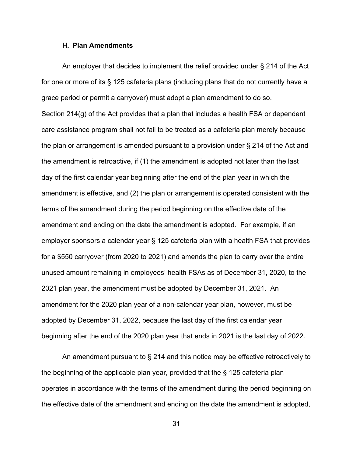#### **H. Plan Amendments**

An employer that decides to implement the relief provided under § 214 of the Act for one or more of its § 125 cafeteria plans (including plans that do not currently have a grace period or permit a carryover) must adopt a plan amendment to do so. Section 214(g) of the Act provides that a plan that includes a health FSA or dependent care assistance program shall not fail to be treated as a cafeteria plan merely because the plan or arrangement is amended pursuant to a provision under § 214 of the Act and the amendment is retroactive, if (1) the amendment is adopted not later than the last day of the first calendar year beginning after the end of the plan year in which the amendment is effective, and (2) the plan or arrangement is operated consistent with the terms of the amendment during the period beginning on the effective date of the amendment and ending on the date the amendment is adopted. For example, if an employer sponsors a calendar year § 125 cafeteria plan with a health FSA that provides for a \$550 carryover (from 2020 to 2021) and amends the plan to carry over the entire unused amount remaining in employees' health FSAs as of December 31, 2020, to the 2021 plan year, the amendment must be adopted by December 31, 2021. An amendment for the 2020 plan year of a non-calendar year plan, however, must be adopted by December 31, 2022, because the last day of the first calendar year beginning after the end of the 2020 plan year that ends in 2021 is the last day of 2022.

An amendment pursuant to § 214 and this notice may be effective retroactively to the beginning of the applicable plan year, provided that the § 125 cafeteria plan operates in accordance with the terms of the amendment during the period beginning on the effective date of the amendment and ending on the date the amendment is adopted,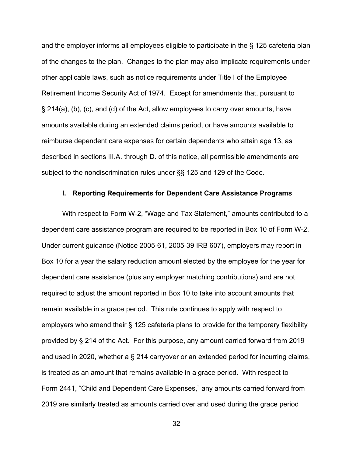and the employer informs all employees eligible to participate in the § 125 cafeteria plan of the changes to the plan. Changes to the plan may also implicate requirements under other applicable laws, such as notice requirements under Title I of the Employee Retirement Income Security Act of 1974. Except for amendments that, pursuant to § 214(a), (b), (c), and (d) of the Act, allow employees to carry over amounts, have amounts available during an extended claims period, or have amounts available to reimburse dependent care expenses for certain dependents who attain age 13, as described in sections III.A. through D. of this notice, all permissible amendments are subject to the nondiscrimination rules under §§ 125 and 129 of the Code.

#### **I. Reporting Requirements for Dependent Care Assistance Programs**

With respect to Form W-2, "Wage and Tax Statement," amounts contributed to a dependent care assistance program are required to be reported in Box 10 of Form W-2. Under current guidance (Notice 2005-61, 2005-39 IRB 607), employers may report in Box 10 for a year the salary reduction amount elected by the employee for the year for dependent care assistance (plus any employer matching contributions) and are not required to adjust the amount reported in Box 10 to take into account amounts that remain available in a grace period. This rule continues to apply with respect to employers who amend their § 125 cafeteria plans to provide for the temporary flexibility provided by § 214 of the Act. For this purpose, any amount carried forward from 2019 and used in 2020, whether a § 214 carryover or an extended period for incurring claims, is treated as an amount that remains available in a grace period. With respect to Form 2441, "Child and Dependent Care Expenses," any amounts carried forward from 2019 are similarly treated as amounts carried over and used during the grace period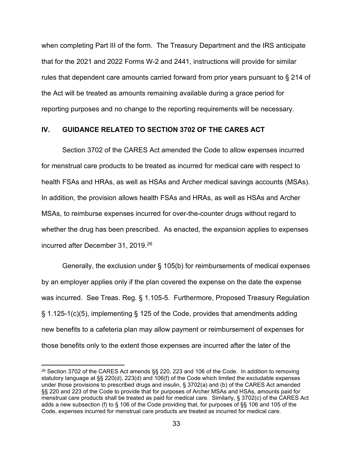when completing Part III of the form. The Treasury Department and the IRS anticipate that for the 2021 and 2022 Forms W-2 and 2441, instructions will provide for similar rules that dependent care amounts carried forward from prior years pursuant to § 214 of the Act will be treated as amounts remaining available during a grace period for reporting purposes and no change to the reporting requirements will be necessary.

### **IV. GUIDANCE RELATED TO SECTION 3702 OF THE CARES ACT**

Section 3702 of the CARES Act amended the Code to allow expenses incurred for menstrual care products to be treated as incurred for medical care with respect to health FSAs and HRAs, as well as HSAs and Archer medical savings accounts (MSAs). In addition, the provision allows health FSAs and HRAs, as well as HSAs and Archer MSAs, to reimburse expenses incurred for over-the-counter drugs without regard to whether the drug has been prescribed. As enacted, the expansion applies to expenses incurred after December 31, 2019.<sup>[26](#page-32-0)</sup>

Generally, the exclusion under § 105(b) for reimbursements of medical expenses by an employer applies only if the plan covered the expense on the date the expense was incurred. See Treas. Reg. § 1.105-5. Furthermore, Proposed Treasury Regulation § 1.125-1(c)(5), implementing § 125 of the Code, provides that amendments adding new benefits to a cafeteria plan may allow payment or reimbursement of expenses for those benefits only to the extent those expenses are incurred after the later of the

<span id="page-32-0"></span><sup>26</sup> Section 3702 of the CARES Act amends §§ 220, 223 and 106 of the Code. In addition to removing statutory language at §§ 220(d), 223(d) and 106(f) of the Code which limited the excludable expenses under those provisions to prescribed drugs and insulin, § 3702(a) and (b) of the CARES Act amended §§ 220 and 223 of the Code to provide that for purposes of Archer MSAs and HSAs, amounts paid for menstrual care products shall be treated as paid for medical care. Similarly, § 3702(c) of the CARES Act adds a new subsection (f) to § 106 of the Code providing that, for purposes of §§ 106 and 105 of the Code, expenses incurred for menstrual care products are treated as incurred for medical care.